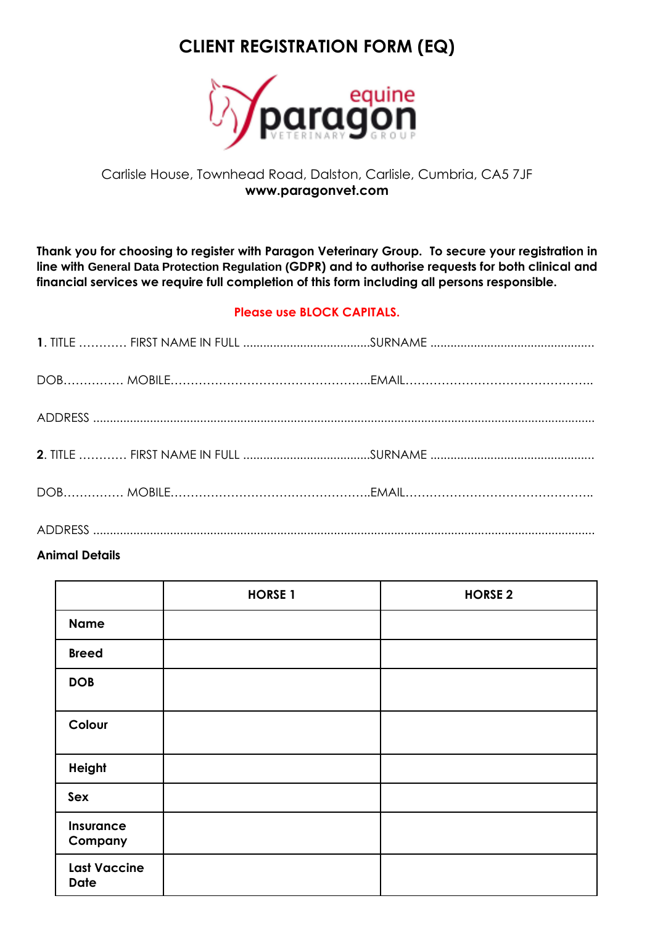# **CLIENT REGISTRATION FORM (EQ)**



## Carlisle House, Townhead Road, Dalston, Carlisle, Cumbria, CA5 7JF **www.paragonvet.com**

**Thank you for choosing to register with Paragon Veterinary Group. To secure your registration in line with General Data Protection Regulation (GDPR) and to authorise requests for both clinical and financial services we require full completion of this form including all persons responsible.**

#### **Please use BLOCK CAPITALS.**

### **Animal Details**

|                                    | <b>HORSE 1</b> | <b>HORSE 2</b> |
|------------------------------------|----------------|----------------|
| <b>Name</b>                        |                |                |
| <b>Breed</b>                       |                |                |
| <b>DOB</b>                         |                |                |
| Colour                             |                |                |
| <b>Height</b>                      |                |                |
| Sex                                |                |                |
| Insurance<br>Company               |                |                |
| <b>Last Vaccine</b><br><b>Date</b> |                |                |